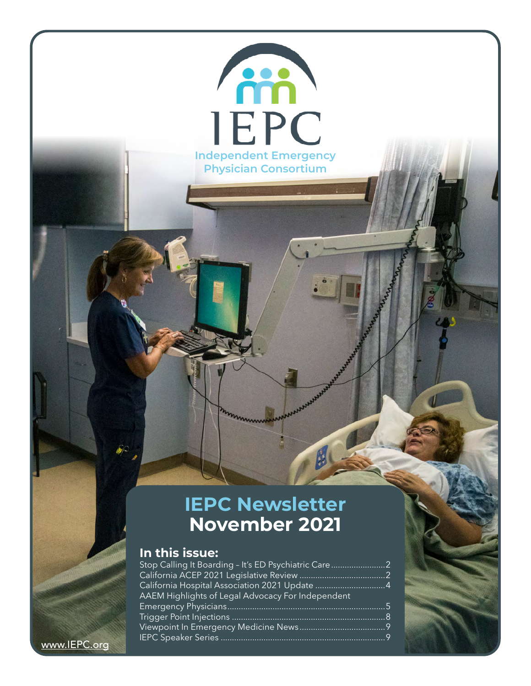### **IEPC Newsletter November 2021**

**Independent Emergency Physician Consortium**

**IEPC** 

**AM** 

### **In this issue:**

| Stop Calling It Boarding - It's ED Psychiatric Care |  |
|-----------------------------------------------------|--|
|                                                     |  |
|                                                     |  |
| AAEM Highlights of Legal Advocacy For Independent   |  |
|                                                     |  |
|                                                     |  |
|                                                     |  |
|                                                     |  |
|                                                     |  |

<www.IEPC.org>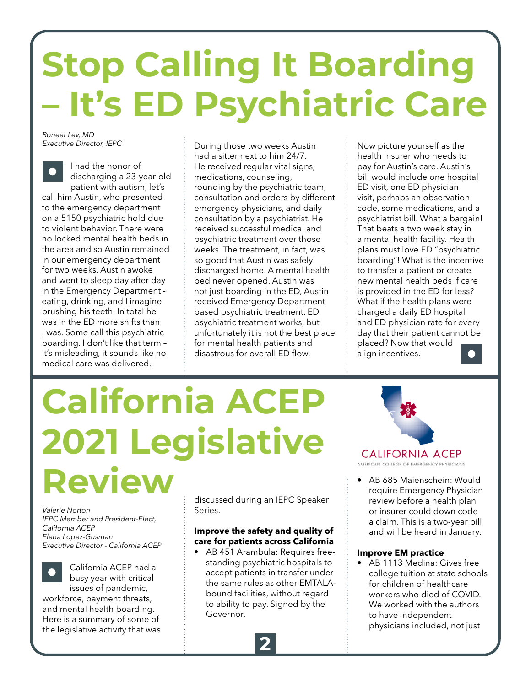# <span id="page-1-0"></span>**Stop Calling It Boarding – It's ED Psychiatric Care**

*Roneet Lev, MD Executive Director, IEPC*

I had the honor of discharging a 23-year-old patient with autism, let's call him Austin, who presented to the emergency department on a 5150 psychiatric hold due to violent behavior. There were no locked mental health beds in the area and so Austin remained in our emergency department for two weeks. Austin awoke and went to sleep day after day in the Emergency Department eating, drinking, and I imagine brushing his teeth. In total he was in the ED more shifts than I was. Some call this psychiatric boarding. I don't like that term – it's misleading, it sounds like no medical care was delivered.

During those two weeks Austin had a sitter next to him 24/7. He received regular vital signs, medications, counseling, rounding by the psychiatric team, consultation and orders by different emergency physicians, and daily consultation by a psychiatrist. He received successful medical and psychiatric treatment over those weeks. The treatment, in fact, was so good that Austin was safely discharged home. A mental health bed never opened. Austin was not just boarding in the ED, Austin received Emergency Department based psychiatric treatment. ED psychiatric treatment works, but unfortunately it is not the best place for mental health patients and disastrous for overall ED flow.

Now picture yourself as the health insurer who needs to pay for Austin's care. Austin's bill would include one hospital ED visit, one ED physician visit, perhaps an observation code, some medications, and a psychiatrist bill. What a bargain! That beats a two week stay in a mental health facility. Health plans must love ED "psychiatric boarding"! What is the incentive to transfer a patient or create new mental health beds if care is provided in the ED for less? What if the health plans were charged a daily ED hospital and ED physician rate for every day that their patient cannot be placed? Now that would align incentives.

# **California ACEP 2021 Legislative Review**

*Valerie Norton IEPC Member and President-Elect, California ACEP Elena Lopez-Gusman Executive Director - California ACEP*

California ACEP had a busy year with critical issues of pandemic, workforce, payment threats, and mental health boarding.

Here is a summary of some of the legislative activity that was discussed during an IEPC Speaker Series.

### **Improve the safety and quality of care for patients across California**

• AB 451 Arambula: Requires freestanding psychiatric hospitals to accept patients in transfer under the same rules as other EMTALAbound facilities, without regard to ability to pay. Signed by the Governor.



AMERICAN COLLEGE OF EMERGENCY PHYSICIANS

• AB 685 Maienschein: Would require Emergency Physician review before a health plan or insurer could down code a claim. This is a two-year bill and will be heard in January.

### **Improve EM practice**

• AB 1113 Medina: Gives free college tuition at state schools for children of healthcare workers who died of COVID. We worked with the authors to have independent physicians included, not just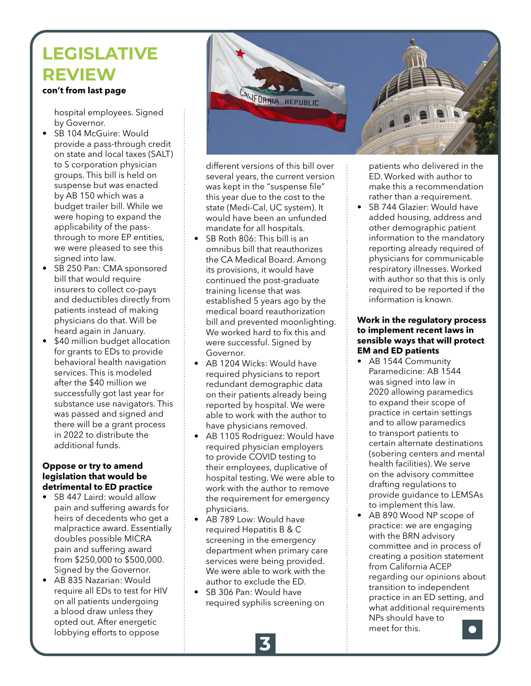## **LEGISLATIVE REVIEW**

### **con't from last page**

hospital employees. Signed by Governor.

- SB 104 McGuire: Would provide a pass-through credit on state and local taxes (SALT) to S corporation physician groups. This bill is held on suspense but was enacted by AB 150 which was a budget trailer bill. While we were hoping to expand the applicability of the passthrough to more EP entities, we were pleased to see this signed into law.
- SB 250 Pan: CMA sponsored bill that would require insurers to collect co-pays and deductibles directly from patients instead of making physicians do that. Will be heard again in January.
- \$40 million budget allocation for grants to EDs to provide behavioral health navigation services. This is modeled after the \$40 million we successfully got last year for substance use navigators. This was passed and signed and there will be a grant process in 2022 to distribute the additional funds.

#### **Oppose or try to amend legislation that would be detrimental to ED practice**

- SB 447 Laird: would allow pain and suffering awards for heirs of decedents who get a malpractice award. Essentially doubles possible MICRA pain and suffering award from \$250,000 to \$500,000. Signed by the Governor.
- AB 835 Nazarian: Would require all EDs to test for HIV on all patients undergoing a blood draw unless they opted out. After energetic lobbying efforts to oppose



different versions of this bill over several years, the current version was kept in the "suspense file" this year due to the cost to the state (Medi-Cal, UC system). It would have been an unfunded mandate for all hospitals.

- SB Roth 806: This bill is an omnibus bill that reauthorizes the CA Medical Board. Among its provisions, it would have continued the post-graduate training license that was established 5 years ago by the medical board reauthorization bill and prevented moonlighting. We worked hard to fix this and were successful. Signed by Governor.
- AB 1204 Wicks: Would have required physicians to report redundant demographic data on their patients already being reported by hospital. We were able to work with the author to have physicians removed.
- AB 1105 Rodriguez: Would have required physician employers to provide COVID testing to their employees, duplicative of hospital testing. We were able to work with the author to remove the requirement for emergency physicians.
- AB 789 Low: Would have required Hepatitis B & C screening in the emergency department when primary care services were being provided. We were able to work with the author to exclude the ED.
- SB 306 Pan: Would have required syphilis screening on

patients who delivered in the ED. Worked with author to make this a recommendation rather than a requirement.

• SB 744 Glazier: Would have added housing, address and other demographic patient information to the mandatory reporting already required of physicians for communicable respiratory illnesses. Worked with author so that this is only required to be reported if the information is known.

### **Work in the regulatory process to implement recent laws in sensible ways that will protect EM and ED patients**

- AB 1544 Community Paramedicine: AB 1544 was signed into law in 2020 allowing paramedics to expand their scope of practice in certain settings and to allow paramedics to transport patients to certain alternate destinations (sobering centers and mental health facilities). We serve on the advisory committee drafting regulations to provide guidance to LEMSAs to implement this law.
- AB 890 Wood NP scope of practice: we are engaging with the BRN advisory committee and in process of creating a position statement from California ACEP regarding our opinions about transition to independent practice in an ED setting, and what additional requirements NPs should have to meet for this.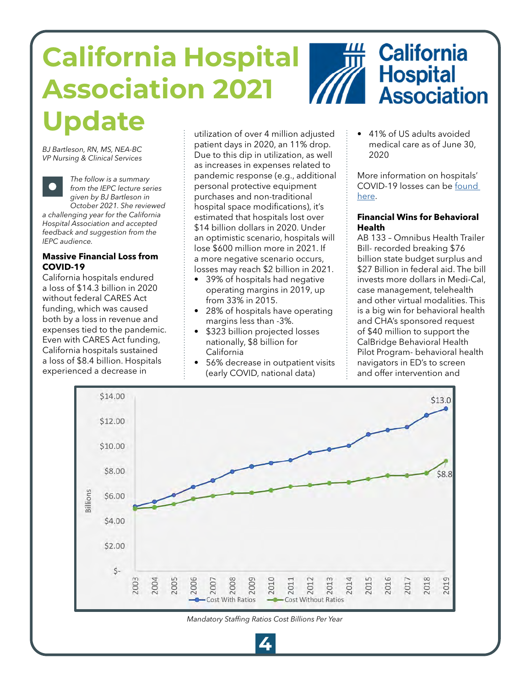# <span id="page-3-0"></span>**California Hospital Association 2021**



## **Ddate** eitilization of over 4 million adiusted **1996** + 41% of US adults avoided

*BJ Bartleson, RN, MS, NEA-BC VP Nursing & Clinical Services*



*The follow is a summary from the IEPC lecture series given by BJ Bartleson in October 2021. She reviewed* 

*a challenging year for the California Hospital Association and accepted feedback and suggestion from the IEPC audience.*

### **Massive Financial Loss from COVID-19**

California hospitals endured a loss of \$14.3 billion in 2020 without federal CARES Act funding, which was caused both by a loss in revenue and expenses tied to the pandemic. Even with CARES Act funding, California hospitals sustained a loss of \$8.4 billion. Hospitals experienced a decrease in

utilization of over 4 million adjusted patient days in 2020, an 11% drop. Due to this dip in utilization, as well as increases in expenses related to pandemic response (e.g., additional personal protective equipment purchases and non-traditional hospital space modifications), it's estimated that hospitals lost over \$14 billion dollars in 2020. Under an optimistic scenario, hospitals will lose \$600 million more in 2021. If a more negative scenario occurs, losses may reach \$2 billion in 2021.

- 39% of hospitals had negative operating margins in 2019, up from 33% in 2015.
- 28% of hospitals have operating margins less than -3%.
- \$323 billion projected losses nationally, \$8 billion for California
- 56% decrease in outpatient visits (early COVID, national data)

medical care as of June 30, 2020

More information on hospitals' COVID-19 losses can be [found](https://www.kaufmanhall.com/sites/default/files/2021-04/kh-cha-financial-forecast-ebook_final.pdf)  [here.](https://www.kaufmanhall.com/sites/default/files/2021-04/kh-cha-financial-forecast-ebook_final.pdf)

### **Financial Wins for Behavioral Health**

AB 133 – Omnibus Health Trailer Bill- recorded breaking \$76 billion state budget surplus and \$27 Billion in federal aid. The bill invests more dollars in Medi-Cal, case management, telehealth and other virtual modalities. This is a big win for behavioral health and CHA's sponsored request of \$40 million to support the CalBridge Behavioral Health Pilot Program- behavioral health navigators in ED's to screen and offer intervention and



**4**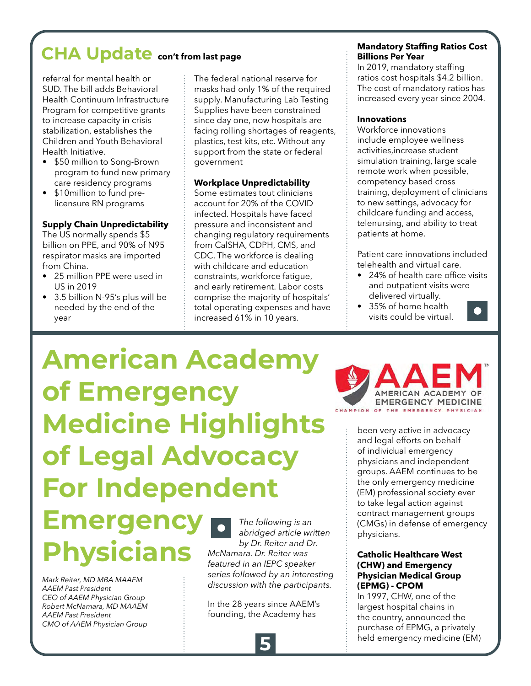## <span id="page-4-0"></span>**CHA Update con't from last page**

referral for mental health or SUD. The bill adds Behavioral Health Continuum Infrastructure Program for competitive grants to increase capacity in crisis stabilization, establishes the Children and Youth Behavioral Health Initiative.

- \$50 million to Song-Brown program to fund new primary care residency programs
- \$10million to fund prelicensure RN programs

### **Supply Chain Unpredictability**

The US normally spends \$5 billion on PPE, and 90% of N95 respirator masks are imported from China.

- 25 million PPE were used in US in 2019
- 3.5 billion N-95's plus will be needed by the end of the year

The federal national reserve for masks had only 1% of the required supply. Manufacturing Lab Testing Supplies have been constrained since day one, now hospitals are facing rolling shortages of reagents, plastics, test kits, etc. Without any support from the state or federal government

### **Workplace Unpredictability**

Some estimates tout clinicians account for 20% of the COVID infected. Hospitals have faced pressure and inconsistent and changing regulatory requirements from CalSHA, CDPH, CMS, and CDC. The workforce is dealing with childcare and education constraints, workforce fatigue, and early retirement. Labor costs comprise the majority of hospitals' total operating expenses and have increased 61% in 10 years.

### **Mandatory Staffing Ratios Cost Billions Per Year**

In 2019, mandatory staffing ratios cost hospitals \$4.2 billion. The cost of mandatory ratios has increased every year since 2004.

### **Innovations**

Workforce innovations include employee wellness activities,increase student simulation training, large scale remote work when possible, competency based cross training, deployment of clinicians to new settings, advocacy for childcare funding and access, telenursing, and ability to treat patients at home.

Patient care innovations included telehealth and virtual care.

- 24% of health care office visits and outpatient visits were delivered virtually.
- 35% of home health visits could be virtual.



## **American Academy of Emergency Medicine Highlights of Legal Advocacy For Independent**

## **Emergency Physicians**

*Mark Reiter, MD MBA MAAEM AAEM Past President CEO of AAEM Physician Group Robert McNamara, MD MAAEM AAEM Past President CMO of AAEM Physician Group*

*The following is an abridged article written by Dr. Reiter and Dr. McNamara. Dr. Reiter was featured in an IEPC speaker series followed by an interesting discussion with the participants.* 

In the 28 years since AAEM's founding, the Academy has



been very active in advocacy and legal efforts on behalf of individual emergency physicians and independent groups. AAEM continues to be the only emergency medicine (EM) professional society ever to take legal action against contract management groups (CMGs) in defense of emergency physicians.

#### **Catholic Healthcare West (CHW) and Emergency Physician Medical Group (EPMG) - CPOM**

In 1997, CHW, one of the largest hospital chains in the country, announced the purchase of EPMG, a privately held emergency medicine (EM)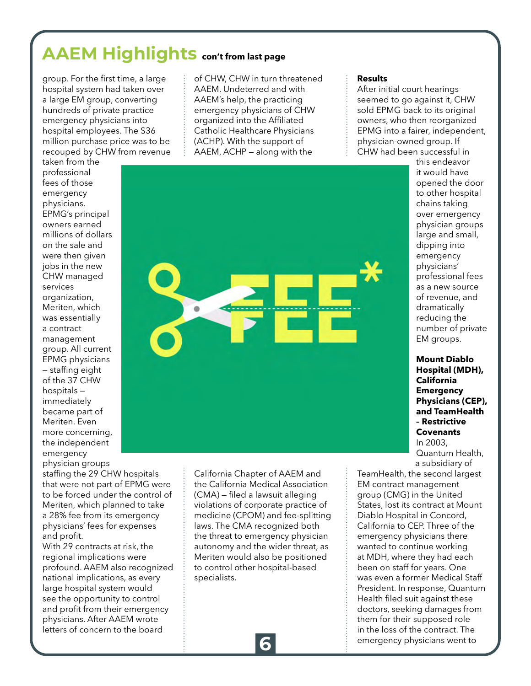### **AAEM Highlights con't from last page**

group. For the first time, a large hospital system had taken over a large EM group, converting hundreds of private practice emergency physicians into hospital employees. The \$36 million purchase price was to be recouped by CHW from revenue

taken from the professional fees of those emergency physicians. EPMG's principal owners earned millions of dollars on the sale and were then given jobs in the new CHW managed services organization, Meriten, which was essentially a contract management group. All current EPMG physicians — staffing eight of the 37 CHW hospitals immediately became part of Meriten. Even more concerning, the independent emergency physician groups

staffing the 29 CHW hospitals that were not part of EPMG were to be forced under the control of Meriten, which planned to take a 28% fee from its emergency physicians' fees for expenses and profit.

With 29 contracts at risk, the regional implications were profound. AAEM also recognized national implications, as every large hospital system would see the opportunity to control and profit from their emergency physicians. After AAEM wrote letters of concern to the board

of CHW, CHW in turn threatened AAEM. Undeterred and with AAEM's help, the practicing emergency physicians of CHW organized into the Affiliated Catholic Healthcare Physicians (ACHP). With the support of AAEM, ACHP — along with the



After initial court hearings seemed to go against it, CHW sold EPMG back to its original owners, who then reorganized EPMG into a fairer, independent, physician-owned group. If CHW had been successful in



California Chapter of AAEM and the California Medical Association (CMA) — filed a lawsuit alleging violations of corporate practice of medicine (CPOM) and fee-splitting laws. The CMA recognized both the threat to emergency physician autonomy and the wider threat, as Meriten would also be positioned to control other hospital-based

it would have opened the door to other hospital chains taking over emergency physician groups large and small, dipping into emergency physicians' professional fees as a new source of revenue, and dramatically reducing the number of private EM groups.

this endeavor

**Mount Diablo Hospital (MDH), California Emergency Physicians (CEP), and TeamHealth – Restrictive Covenants** In 2003, Quantum Health, a subsidiary of

TeamHealth, the second largest EM contract management group (CMG) in the United States, lost its contract at Mount Diablo Hospital in Concord, California to CEP. Three of the emergency physicians there wanted to continue working at MDH, where they had each been on staff for years. One was even a former Medical Staff President. In response, Quantum Health filed suit against these doctors, seeking damages from them for their supposed role in the loss of the contract. The emergency physicians went to

specialists.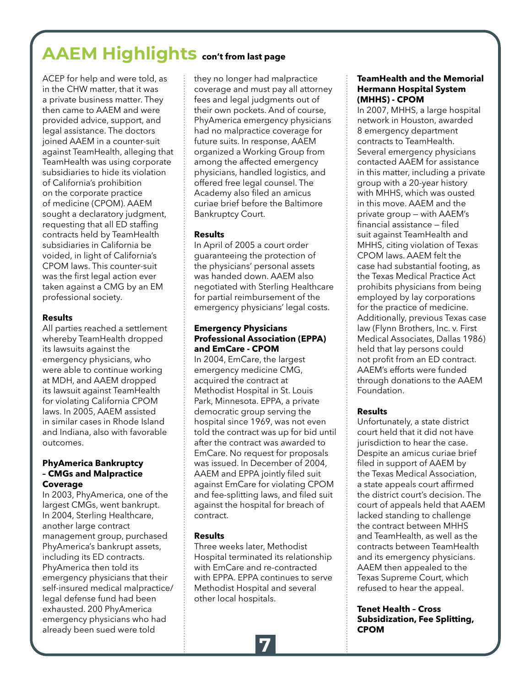## **AAEM Highlights con't from last page**

ACEP for help and were told, as in the CHW matter, that it was a private business matter. They then came to AAEM and were provided advice, support, and legal assistance. The doctors joined AAEM in a counter-suit against TeamHealth, alleging that TeamHealth was using corporate subsidiaries to hide its violation of California's prohibition on the corporate practice of medicine (CPOM). AAEM sought a declaratory judgment, requesting that all ED staffing contracts held by TeamHealth subsidiaries in California be voided, in light of California's CPOM laws. This counter-suit was the first legal action ever taken against a CMG by an EM professional society.

### **Results**

All parties reached a settlement whereby TeamHealth dropped its lawsuits against the emergency physicians, who were able to continue working at MDH, and AAEM dropped its lawsuit against TeamHealth for violating California CPOM laws. In 2005, AAEM assisted in similar cases in Rhode Island and Indiana, also with favorable outcomes.

### **PhyAmerica Bankruptcy – CMGs and Malpractice Coverage**

In 2003, PhyAmerica, one of the largest CMGs, went bankrupt. In 2004, Sterling Healthcare, another large contract management group, purchased PhyAmerica's bankrupt assets, including its ED contracts. PhyAmerica then told its emergency physicians that their self-insured medical malpractice/ legal defense fund had been exhausted. 200 PhyAmerica emergency physicians who had already been sued were told

they no longer had malpractice coverage and must pay all attorney fees and legal judgments out of their own pockets. And of course, PhyAmerica emergency physicians had no malpractice coverage for future suits. In response, AAEM organized a Working Group from among the affected emergency physicians, handled logistics, and offered free legal counsel. The Academy also filed an amicus curiae brief before the Baltimore Bankruptcy Court.

### **Results**

In April of 2005 a court order guaranteeing the protection of the physicians' personal assets was handed down. AAEM also negotiated with Sterling Healthcare for partial reimbursement of the emergency physicians' legal costs.

### **Emergency Physicians Professional Association (EPPA) and EmCare - CPOM**

In 2004, EmCare, the largest emergency medicine CMG, acquired the contract at Methodist Hospital in St. Louis Park, Minnesota. EPPA, a private democratic group serving the hospital since 1969, was not even told the contract was up for bid until after the contract was awarded to EmCare. No request for proposals was issued. In December of 2004, AAEM and EPPA jointly filed suit against EmCare for violating CPOM and fee-splitting laws, and filed suit against the hospital for breach of contract.

### **Results**

Three weeks later, Methodist Hospital terminated its relationship with EmCare and re-contracted with EPPA. EPPA continues to serve Methodist Hospital and several other local hospitals.

### **TeamHealth and the Memorial Hermann Hospital System (MHHS) - CPOM**

In 2007, MHHS, a large hospital network in Houston, awarded 8 emergency department contracts to TeamHealth. Several emergency physicians contacted AAEM for assistance in this matter, including a private group with a 20-year history with MHHS, which was ousted in this move. AAEM and the private group — with AAEM's financial assistance — filed suit against TeamHealth and MHHS, citing violation of Texas CPOM laws. AAEM felt the case had substantial footing, as the Texas Medical Practice Act prohibits physicians from being employed by lay corporations for the practice of medicine. Additionally, previous Texas case law (Flynn Brothers, Inc. v. First Medical Associates, Dallas 1986) held that lay persons could not profit from an ED contract. AAEM's efforts were funded through donations to the AAEM Foundation.

### **Results**

Unfortunately, a state district court held that it did not have jurisdiction to hear the case. Despite an amicus curiae brief filed in support of AAEM by the Texas Medical Association, a state appeals court affirmed the district court's decision. The court of appeals held that AAEM lacked standing to challenge the contract between MHHS and TeamHealth, as well as the contracts between TeamHealth and its emergency physicians. AAEM then appealed to the Texas Supreme Court, which refused to hear the appeal.

**Tenet Health – Cross Subsidization, Fee Splitting, CPOM**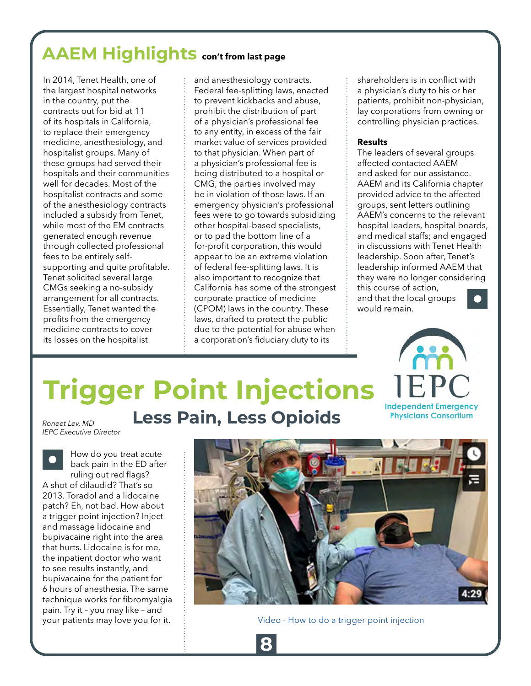### <span id="page-7-0"></span>**AAEM Highlights con't from last page**

In 2014, Tenet Health, one of the largest hospital networks in the country, put the contracts out for bid at 11 of its hospitals in California, to replace their emergency medicine, anesthesiology, and hospitalist groups. Many of these groups had served their hospitals and their communities well for decades. Most of the hospitalist contracts and some of the anesthesiology contracts included a subsidy from Tenet, while most of the EM contracts generated enough revenue through collected professional fees to be entirely selfsupporting and quite profitable. Tenet solicited several large CMGs seeking a no-subsidy arrangement for all contracts. Essentially, Tenet wanted the profits from the emergency medicine contracts to cover its losses on the hospitalist

and anesthesiology contracts. Federal fee-splitting laws, enacted to prevent kickbacks and abuse, prohibit the distribution of part of a physician's professional fee to any entity, in excess of the fair market value of services provided to that physician. When part of a physician's professional fee is being distributed to a hospital or CMG, the parties involved may be in violation of those laws. If an emergency physician's professional fees were to go towards subsidizing other hospital-based specialists, or to pad the bottom line of a for-profit corporation, this would appear to be an extreme violation of federal fee-splitting laws. It is also important to recognize that California has some of the strongest corporate practice of medicine (CPOM) laws in the country. These laws, drafted to protect the public due to the potential for abuse when a corporation's fiduciary duty to its

shareholders is in conflict with a physician's duty to his or her patients, prohibit non-physician, lay corporations from owning or controlling physician practices.

#### **Results**

The leaders of several groups affected contacted AAEM and asked for our assistance. AAEM and its California chapter provided advice to the affected groups, sent letters outlining AAEM's concerns to the relevant hospital leaders, hospital boards, and medical staffs; and engaged in discussions with Tenet Health leadership. Soon after, Tenet's leadership informed AAEM that they were no longer considering this course of action, and that the local groups would remain.



# **Trigger Point Injections**

*Roneet Lev, MD IEPC Executive Director*

How do you treat acute back pain in the ED after ruling out red flags? A shot of dilaudid? That's so 2013. Toradol and a lidocaine patch? Eh, not bad. How about a trigger point injection? Inject and massage lidocaine and bupivacaine right into the area that hurts. Lidocaine is for me, the inpatient doctor who want to see results instantly, and bupivacaine for the patient for 6 hours of anesthesia. The same technique works for fibromyalgia pain. Try it – you may like – and your patients may love you for it.

### **Less Pain, Less Opioids**

**8**



[Video - How to do a trigger point injection](https://www.youtube.com/watch?v=Mq2QjR63rrY)